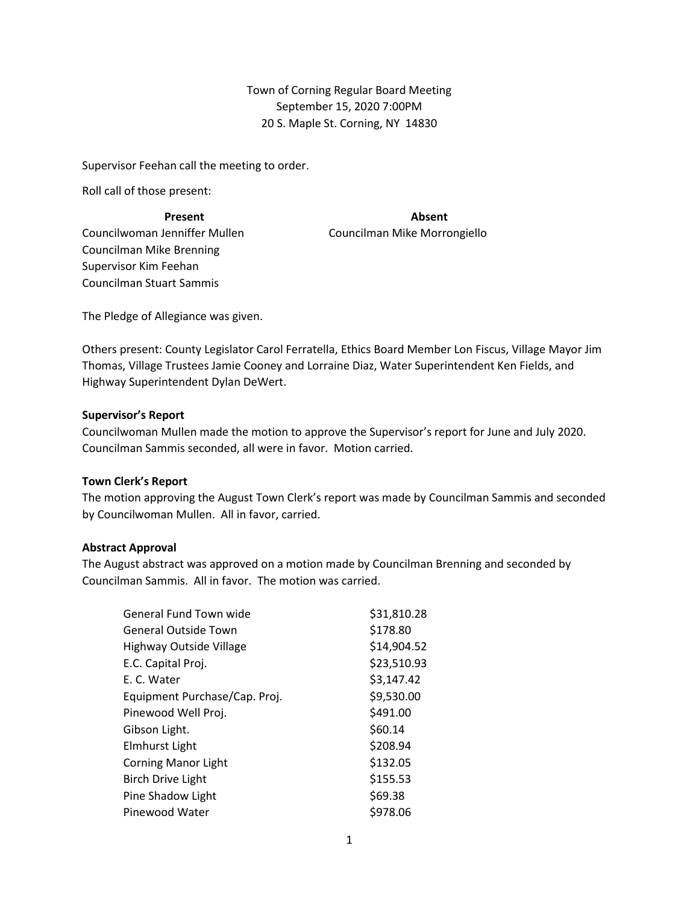Town of Corning Regular Board Meeting September 15, 2020 7:00PM 20 S. Maple St. Corning, NY 14830

Supervisor Feehan call the meeting to order.

Roll call of those present:

Councilman Stuart Sammis

Councilwoman Jenniffer Mullen Councilman Mike Morrongiello Councilman Mike Brenning Supervisor Kim Feehan

**Present Absent**

The Pledge of Allegiance was given.

Others present: County Legislator Carol Ferratella, Ethics Board Member Lon Fiscus, Village Mayor Jim Thomas, Village Trustees Jamie Cooney and Lorraine Diaz, Water Superintendent Ken Fields, and Highway Superintendent Dylan DeWert.

### **Supervisor's Report**

Councilwoman Mullen made the motion to approve the Supervisor's report for June and July 2020. Councilman Sammis seconded, all were in favor. Motion carried.

#### **Town Clerk's Report**

The motion approving the August Town Clerk's report was made by Councilman Sammis and seconded by Councilwoman Mullen. All in favor, carried.

# **Abstract Approval**

The August abstract was approved on a motion made by Councilman Brenning and seconded by Councilman Sammis. All in favor. The motion was carried.

| \$31,810.28 |
|-------------|
| \$178.80    |
| \$14,904.52 |
| \$23,510.93 |
| \$3,147.42  |
| \$9,530.00  |
| \$491.00    |
| \$60.14     |
| \$208.94    |
| \$132.05    |
| \$155.53    |
| \$69.38     |
| \$978.06    |
|             |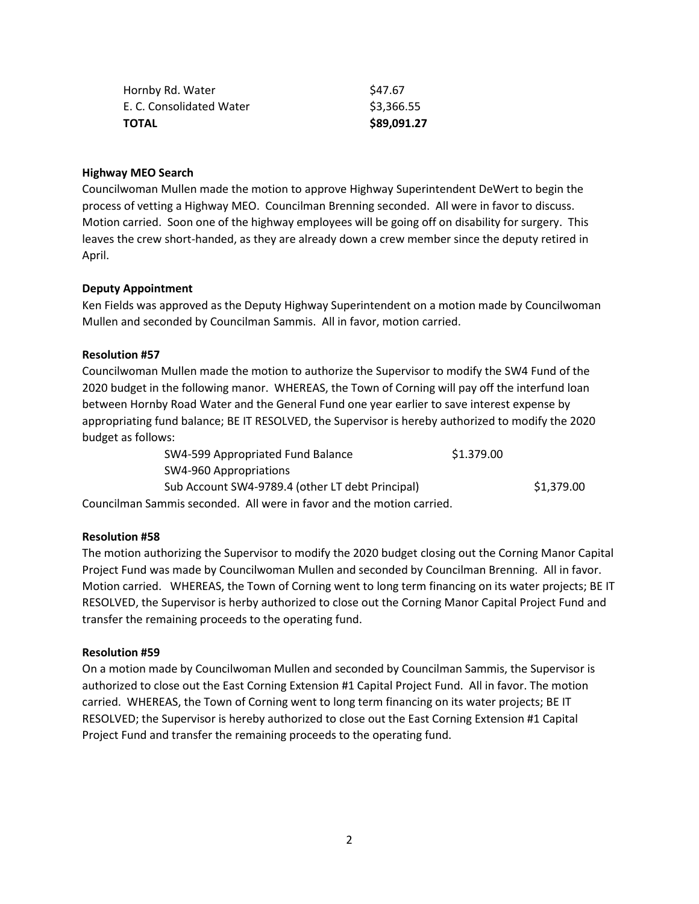| Hornby Rd. Water         | S47.67      |
|--------------------------|-------------|
| E. C. Consolidated Water | \$3,366.55  |
| <b>TOTAL</b>             | \$89,091.27 |

### **Highway MEO Search**

Councilwoman Mullen made the motion to approve Highway Superintendent DeWert to begin the process of vetting a Highway MEO. Councilman Brenning seconded. All were in favor to discuss. Motion carried. Soon one of the highway employees will be going off on disability for surgery. This leaves the crew short-handed, as they are already down a crew member since the deputy retired in April.

### **Deputy Appointment**

Ken Fields was approved as the Deputy Highway Superintendent on a motion made by Councilwoman Mullen and seconded by Councilman Sammis. All in favor, motion carried.

# **Resolution #57**

Councilwoman Mullen made the motion to authorize the Supervisor to modify the SW4 Fund of the 2020 budget in the following manor. WHEREAS, the Town of Corning will pay off the interfund loan between Hornby Road Water and the General Fund one year earlier to save interest expense by appropriating fund balance; BE IT RESOLVED, the Supervisor is hereby authorized to modify the 2020 budget as follows:

| SW4-599 Appropriated Fund Balance                                     | \$1.379.00 |            |
|-----------------------------------------------------------------------|------------|------------|
| SW4-960 Appropriations                                                |            |            |
| Sub Account SW4-9789.4 (other LT debt Principal)                      |            | \$1.379.00 |
| Councilman Sammis seconded. All were in favor and the motion carried. |            |            |

#### **Resolution #58**

The motion authorizing the Supervisor to modify the 2020 budget closing out the Corning Manor Capital Project Fund was made by Councilwoman Mullen and seconded by Councilman Brenning. All in favor. Motion carried. WHEREAS, the Town of Corning went to long term financing on its water projects; BE IT RESOLVED, the Supervisor is herby authorized to close out the Corning Manor Capital Project Fund and transfer the remaining proceeds to the operating fund.

#### **Resolution #59**

On a motion made by Councilwoman Mullen and seconded by Councilman Sammis, the Supervisor is authorized to close out the East Corning Extension #1 Capital Project Fund. All in favor. The motion carried. WHEREAS, the Town of Corning went to long term financing on its water projects; BE IT RESOLVED; the Supervisor is hereby authorized to close out the East Corning Extension #1 Capital Project Fund and transfer the remaining proceeds to the operating fund.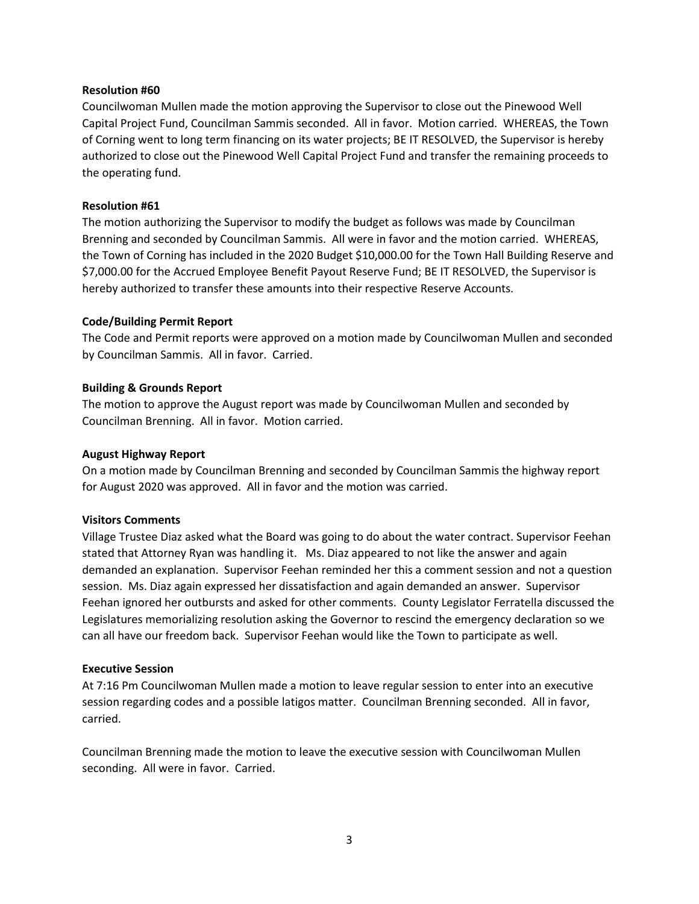## **Resolution #60**

Councilwoman Mullen made the motion approving the Supervisor to close out the Pinewood Well Capital Project Fund, Councilman Sammis seconded. All in favor. Motion carried. WHEREAS, the Town of Corning went to long term financing on its water projects; BE IT RESOLVED, the Supervisor is hereby authorized to close out the Pinewood Well Capital Project Fund and transfer the remaining proceeds to the operating fund.

## **Resolution #61**

The motion authorizing the Supervisor to modify the budget as follows was made by Councilman Brenning and seconded by Councilman Sammis. All were in favor and the motion carried. WHEREAS, the Town of Corning has included in the 2020 Budget \$10,000.00 for the Town Hall Building Reserve and \$7,000.00 for the Accrued Employee Benefit Payout Reserve Fund; BE IT RESOLVED, the Supervisor is hereby authorized to transfer these amounts into their respective Reserve Accounts.

### **Code/Building Permit Report**

The Code and Permit reports were approved on a motion made by Councilwoman Mullen and seconded by Councilman Sammis. All in favor. Carried.

### **Building & Grounds Report**

The motion to approve the August report was made by Councilwoman Mullen and seconded by Councilman Brenning. All in favor. Motion carried.

#### **August Highway Report**

On a motion made by Councilman Brenning and seconded by Councilman Sammis the highway report for August 2020 was approved. All in favor and the motion was carried.

#### **Visitors Comments**

Village Trustee Diaz asked what the Board was going to do about the water contract. Supervisor Feehan stated that Attorney Ryan was handling it. Ms. Diaz appeared to not like the answer and again demanded an explanation. Supervisor Feehan reminded her this a comment session and not a question session. Ms. Diaz again expressed her dissatisfaction and again demanded an answer. Supervisor Feehan ignored her outbursts and asked for other comments. County Legislator Ferratella discussed the Legislatures memorializing resolution asking the Governor to rescind the emergency declaration so we can all have our freedom back. Supervisor Feehan would like the Town to participate as well.

#### **Executive Session**

At 7:16 Pm Councilwoman Mullen made a motion to leave regular session to enter into an executive session regarding codes and a possible latigos matter. Councilman Brenning seconded. All in favor, carried.

Councilman Brenning made the motion to leave the executive session with Councilwoman Mullen seconding. All were in favor. Carried.